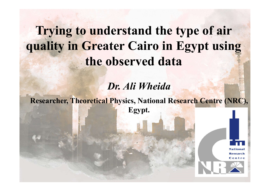### **Trying to understand the type of air quality in Greater Cairo in Egypt using the observed data**

*Dr. Ali Wheida*

**Researcher, Theoretical Physics, National Research Centre (NRC), Egypt.**

> Research Centre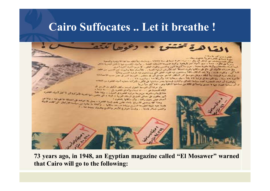#### **Cairo Suffocates .. Let it breathe !**



**73 years ago, in 1948, an Egyptian magazine called "El Mosawer" warned that Cairo will go to the following:**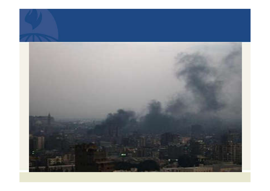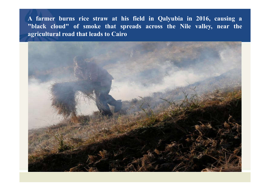**A farmer burns rice straw at his field in Qalyubia in 2016, causing a "black cloud" of smoke that spreads across the Nile valley, near the agricultural road that leads to Cairo**

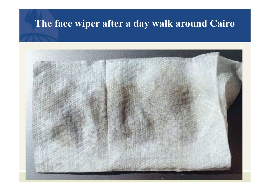#### **The face wiper after a day walk around Cairo**

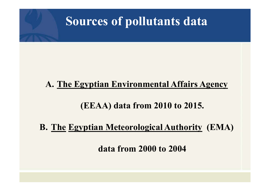### **Sources of pollutants data**

#### **A. The Egyptian Environmental Affairs Agency**

#### **(EEAA) data from 2010 to 2015.**

**B. The Egyptian Meteorological Authority (EMA)** 

**data from 2000 to 2004**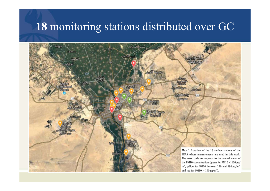#### monitoring stations distributed over GC

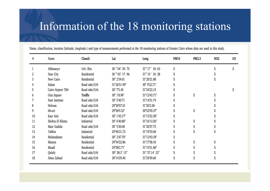### Information of the 18 monitoring stations

Name, classification, location (latitude, longitude.) and type of measurements performed at the 18 monitoring stations of Greater Cairo whose data are used in this study.

| #  | Name              | Classif.       | Lat            | Long           | <b>PM10</b> | PM2.5 | NO <sub>2</sub> | 03 |
|----|-------------------|----------------|----------------|----------------|-------------|-------|-----------------|----|
| 1  | Abbasseya         | Urb /Res       | 30 ° 04` 39.75 | 31° 17 ' 18.63 | X           |       | X               | X  |
| 2  | Nasr City         | Residential    | 30 ° 03' 17.96 | 31° 19 ` 34.28 | X           |       | X               |    |
| 3  | New Cairo         | Residential    | 30° 2'34.01    | 31°20'21.88    | X           |       | X               |    |
|    | Salam             | Road side/Urb  | 31°26'51.99"   | 30° 9'22.71"   | X           |       |                 |    |
| 5  | Cairo Airport TB4 | Road side/Urb. | 30° 7'5.45     | 31°24'22.15    | X           |       |                 | X  |
| 6  | Giza Square       | Traffic        | 30° 1'8.90"    | 31°12'43.71"   | X           | X     | X               |    |
|    | Nasr Institute    | Road side/Urb  | 30° 5'40.71    | 31°14'21.74    | X           |       | X               |    |
| 8  | Helwan            | Road side/Urb  | 29°50'57.01    | 31°20'2.58     | X           |       | X               |    |
| 9  | 06-oct            | Road side/Urb  | 29°56'9.32"    | 30°52'59.37"   | X           | X     | X               |    |
| 10 | Kasr Aini         | Road side/Urb  | 30° 1'43.17"   | 31°13'32.30"   | X           |       | X               |    |
| 11 | Shobra El Khima   | Industrial     | 30° 6'40.80"   | 31°16'13.56"   | X           | X     | X               |    |
| 12 | Masr Gadida       | Road side/Urb  | 30° 5'30.00    | 31°20'37.75    | X           | X     | X               |    |
| 13 | Tabbin            | Industrial     | 29°46'21.72    | 31°19'33.60    | X           | X     | X               |    |
| 14 | Mohandseen        | Residential    | 30° 2'47.70"   | 31°12'43.39"   | X           |       |                 |    |
| 15 | Masara            | Residential    | 29°54'22.86    | 31°17'58.43    | X           | X     | X               |    |
| 16 | Maadi             | Residential    | 29°58'2.71"    | 31°15'51.80"   | X           | X     | X               |    |
| 17 | Qulaly            | Road side/Urb  | 30° 38.3' 13"  | 31° 37.14° 23" | X           | X     | X               |    |
| 18 | Abou Zabaal       | Road side/Urb  | 30°14'29.40    | 31°24'39.60    | X           | X     | X               |    |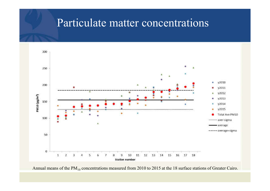#### Particulate matter concentrations



Annual means of the  $PM_{10}$  concentrations measured from 2010 to 2015 at the 18 surface stations of Greater Cairo.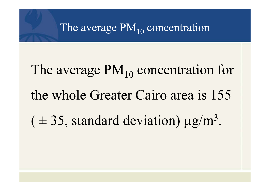#### The average  $PM_{10}$  concentration

# The average  $PM_{10}$  concentration for the whole Greater Cairo area is 155 ( $\pm$  35, standard deviation)  $\mu$ g/m<sup>3</sup>.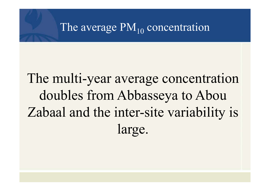#### The average  $PM_{10}$  concentration

## The multi-year average concentration doubles from Abbasseya to Abou Zabaal and the inter-site variability is large.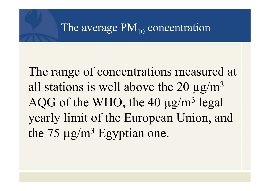#### The average  $PM_{10}$  concentration

The range of concentrations measured at all stations is well above the 20  $\mu$ g/m<sup>3</sup> AQG of the WHO, the 40  $\mu$ g/m<sup>3</sup> legal yearly limit of the European Union, and the 75 µg/m<sup>3</sup> Egyptian one.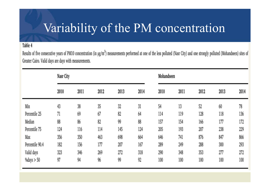### Variability of the PM concentration

#### Table 4

Results of five consecutive years of PM10 concentration (in µg/m<sup>3</sup>) measurements performed at one of the less polluted (Nasr City) and one strongly polluted (Mohandseen) sites of Greater Cairo. Valid days are days with measurements.

|                 | Nasr City |      |      |      |      |      | Mohandseen |      |      |      |  |
|-----------------|-----------|------|------|------|------|------|------------|------|------|------|--|
|                 | 2010      | 2011 | 2012 | 2013 | 2014 | 2010 | 2011       | 2012 | 2013 | 2014 |  |
| Min             | 43        | 38   | 35   | 32   | 31   | 54   | 13         | 52   | 60   | 78   |  |
| Percentile 25   | 71        | 69   | 67   | 82   | 64   | 114  | 119        | 128  | 118  | 136  |  |
| Median          | 88        | 86   | 82   | 99   | 88   | 157  | 154        | 166  | 177  | 172  |  |
| Percentile 75   | 124       | 116  | 114  | 145  | 124  | 205  | 193        | 207  | 238  | 229  |  |
| Max             | 356       | 350  | 463  | 698  | 664  | 646  | 741        | 876  | 847  | 866  |  |
| Percentile 90.4 | 182       | 156  | 177  | 207  | 167  | 289  | 249        | 288  | 300  | 293  |  |
| Valid days      | 323       | 346  | 269  | 272  | 318  | 290  | 348        | 353  | 277  | 272  |  |
| $\%days > 50$   | 97        | 94   | 96   | 99   | 92   | 100  | 100        | 100  | 100  | 100  |  |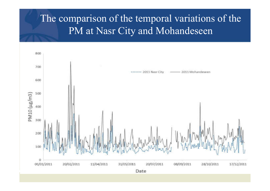#### The comparison of the temporal variations of the PM at Nasr City and Mohandeseen

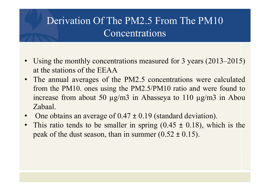#### Derivation Of The PM2.5 From The PM10 Concentrations

- Using the monthly concentrations measured for 3 years (2013–2015) at the stations of the EEAA
- The annual averages of the PM2.5 concentrations were calculated from the PM10. ones using the PM2.5/PM10 ratio and were found to increase from about 50 µg/m3 in Abasseya to 110 µg/m3 in Abou Zabaal.
- One obtains an average of  $0.47 \pm 0.19$  (standard deviation).
- This ratio tends to be smaller in spring  $(0.45 \pm 0.18)$ , which is the peak of the dust season, than in summer  $(0.52 \pm 0.15)$ .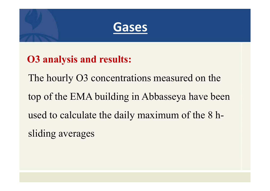

**O3 analysis and results:**

The hourly O3 concentrations measured on the top of the EMA building in Abbasseya have been used to calculate the daily maximum of the 8 hsliding averages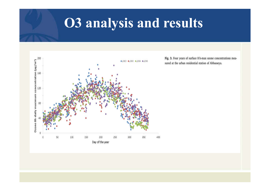### **O3 analysis and results**



Fig. 3. Four years of surface 8 h-max ozone concentrations measured at the urban residential station of Abbasseya.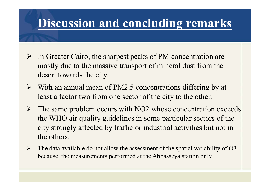### **Discussion and concluding remarks**

- $\triangleright$  In Greater Cairo, the sharpest peaks of PM concentration are mostly due to the massive transport of mineral dust from the desert towards the city.
- $\triangleright$  With an annual mean of PM2.5 concentrations differing by at least a factor two from one sector of the city to the other.
- $\triangleright$  The same problem occurs with NO2 whose concentration exceeds the WHO air quality guidelines in some particular sectors of the city strongly affected by traffic or industrial activities but not in the others.
- $\triangleright$  The data available do not allow the assessment of the spatial variability of O3 because the measurements performed at the Abbasseya station only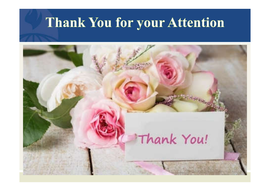### Thank You for your Attention

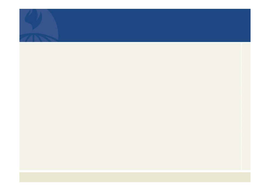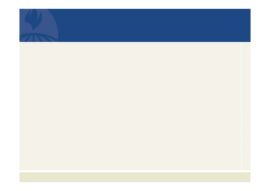